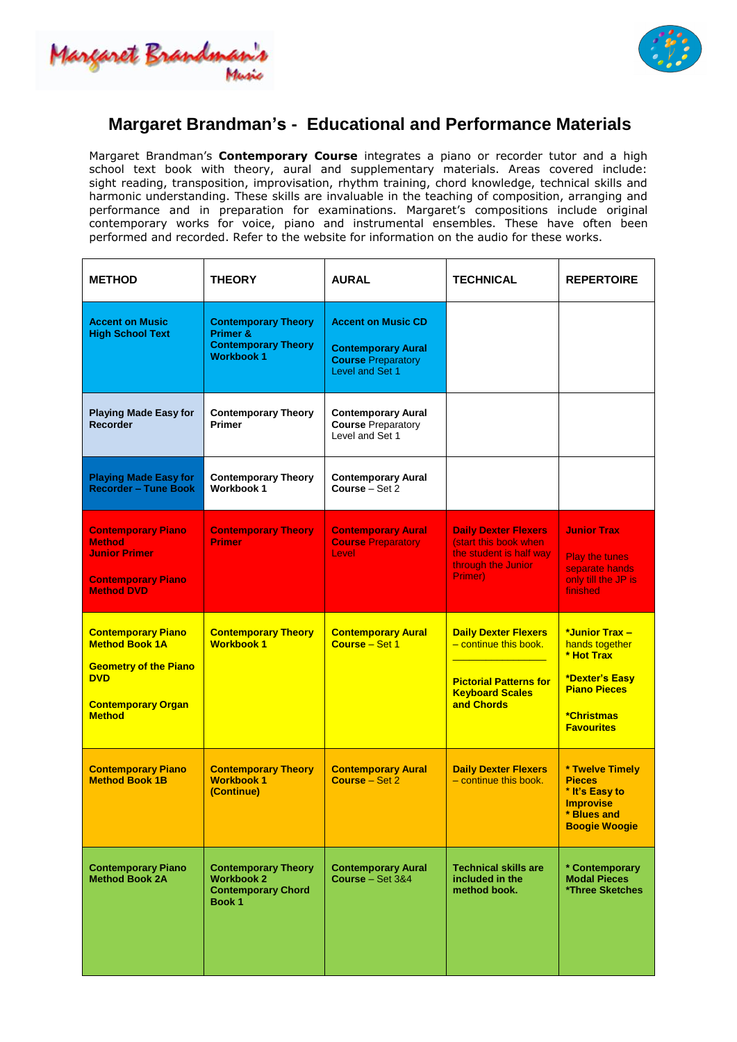Margaret Brandmas



## **Margaret Brandman's - Educational and Performance Materials**

Margaret Brandman's **Contemporary Course** integrates a piano or recorder tutor and a high school text book with theory, aural and supplementary materials. Areas covered include: sight reading, transposition, improvisation, rhythm training, chord knowledge, technical skills and harmonic understanding. These skills are invaluable in the teaching of composition, arranging and performance and in preparation for examinations. Margaret's compositions include original contemporary works for voice, piano and instrumental ensembles. These have often been performed and recorded. Refer to the website for information on the audio for these works.

| <b>METHOD</b>                                                                                                                                  | <b>THEORY</b>                                                                                        | <b>AURAL</b>                                                                                           | <b>TECHNICAL</b>                                                                                                              | <b>REPERTOIRE</b>                                                                                                                        |
|------------------------------------------------------------------------------------------------------------------------------------------------|------------------------------------------------------------------------------------------------------|--------------------------------------------------------------------------------------------------------|-------------------------------------------------------------------------------------------------------------------------------|------------------------------------------------------------------------------------------------------------------------------------------|
| <b>Accent on Music</b><br><b>High School Text</b>                                                                                              | <b>Contemporary Theory</b><br><b>Primer &amp;</b><br><b>Contemporary Theory</b><br><b>Workbook 1</b> | <b>Accent on Music CD</b><br><b>Contemporary Aural</b><br><b>Course Preparatory</b><br>Level and Set 1 |                                                                                                                               |                                                                                                                                          |
| <b>Playing Made Easy for</b><br><b>Recorder</b>                                                                                                | <b>Contemporary Theory</b><br><b>Primer</b>                                                          | <b>Contemporary Aural</b><br><b>Course Preparatory</b><br>Level and Set 1                              |                                                                                                                               |                                                                                                                                          |
| <b>Playing Made Easy for</b><br><b>Recorder - Tune Book</b>                                                                                    | <b>Contemporary Theory</b><br><b>Workbook 1</b>                                                      | <b>Contemporary Aural</b><br>Course - Set 2                                                            |                                                                                                                               |                                                                                                                                          |
| <b>Contemporary Piano</b><br><b>Method</b><br><b>Junior Primer</b><br><b>Contemporary Piano</b><br><b>Method DVD</b>                           | <b>Contemporary Theory</b><br><b>Primer</b>                                                          | <b>Contemporary Aural</b><br><b>Course Preparatory</b><br>Level                                        | <b>Daily Dexter Flexers</b><br>(start this book when<br>the student is half way<br>through the Junior<br>Primer)              | <b>Junior Trax</b><br><b>Play the tunes</b><br>separate hands<br>only till the JP is<br>finished                                         |
| <b>Contemporary Piano</b><br><b>Method Book 1A</b><br><b>Geometry of the Piano</b><br><b>DVD</b><br><b>Contemporary Organ</b><br><b>Method</b> | <b>Contemporary Theory</b><br><b>Workbook 1</b>                                                      | <b>Contemporary Aural</b><br>Course - Set 1                                                            | <b>Daily Dexter Flexers</b><br>- continue this book.<br><b>Pictorial Patterns for</b><br><b>Keyboard Scales</b><br>and Chords | *Junior Trax -<br>hands together<br>* Hot Trax<br>*Dexter's Easy<br><b>Piano Pieces</b><br><i><b>*Christmas</b></i><br><b>Favourites</b> |
| <b>Contemporary Piano</b><br><b>Method Book 1B</b>                                                                                             | <b>Contemporary Theory</b><br><b>Workbook 1</b><br>(Continue)                                        | <b>Contemporary Aural</b><br>Course – Set 2                                                            | <b>Daily Dexter Flexers</b><br>$-$ continue this book.                                                                        | * Twelve Timely<br><b>Pieces</b><br>* It's Easy to<br><b>Improvise</b><br>* Blues and<br><b>Boogie Woogie</b>                            |
| <b>Contemporary Piano</b><br><b>Method Book 2A</b>                                                                                             | <b>Contemporary Theory</b><br><b>Workbook 2</b><br><b>Contemporary Chord</b><br>Book 1               | <b>Contemporary Aural</b><br>Course $-$ Set 3&4                                                        | <b>Technical skills are</b><br>included in the<br>method book.                                                                | * Contemporary<br><b>Modal Pieces</b><br>*Three Sketches                                                                                 |